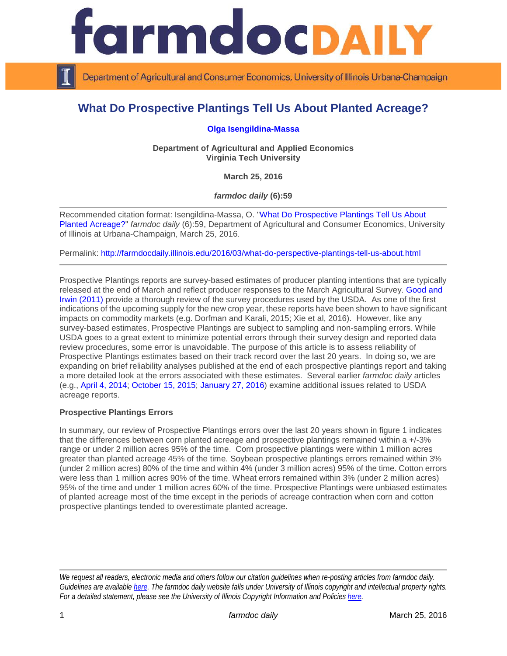

Department of Agricultural and Consumer Economics, University of Illinois Urbana-Champaign

# **What Do Prospective Plantings Tell Us About Planted Acreage?**

**[Olga Isengildina-Massa](https://www.aaec.vt.edu/people/faculty/Isengildina_Olga.html)**

**Department of Agricultural and Applied Economics Virginia Tech University**

**March 25, 2016**

*farmdoc daily* **(6):59**

Recommended citation format: Isengildina-Massa, O. ["What Do Prospective Plantings](http://farmdocdaily.illinois.edu/2016/03/what-do-perspective-plantings-tell-us-about.html) Tell Us About [Planted Acreage?"](http://farmdocdaily.illinois.edu/2016/03/what-do-perspective-plantings-tell-us-about.html) *farmdoc daily* (6):59, Department of Agricultural and Consumer Economics, University of Illinois at Urbana-Champaign, March 25, 2016.

Permalink: <http://farmdocdaily.illinois.edu/2016/03/what-do-perspective-plantings-tell-us-about.html>

Prospective Plantings reports are survey-based estimates of producer planting intentions that are typically released at the end of March and reflect producer responses to the March Agricultural Survey. [Good and](http://farmdoc.illinois.edu/marketing/mobr/mobr_11-02/mobr_11-02.pdf)  [Irwin \(2011\)](http://farmdoc.illinois.edu/marketing/mobr/mobr_11-02/mobr_11-02.pdf) provide a thorough review of the survey procedures used by the USDA. As one of the first indications of the upcoming supply for the new crop year, these reports have been shown to have significant impacts on commodity markets (e.g. Dorfman and Karali, 2015; Xie et al, 2016). However, like any survey-based estimates, Prospective Plantings are subject to sampling and non-sampling errors. While USDA goes to a great extent to minimize potential errors through their survey design and reported data review procedures, some error is unavoidable. The purpose of this article is to assess reliability of Prospective Plantings estimates based on their track record over the last 20 years. In doing so, we are expanding on brief reliability analyses published at the end of each prospective plantings report and taking a more detailed look at the errors associated with these estimates. Several earlier *farmdoc daily* articles (e.g., [April 4, 2014;](http://farmdocdaily.illinois.edu/2014/04/acres-from-usda-prospective-plantings-report.html) [October 15, 2015;](http://farmdocdaily.illinois.edu/2015/10/progression-usda-corn-and-soybean-acreage-estimates.html) [January 27, 2016\)](http://farmdocdaily.illinois.edu/2016/01/using-fsa-acreage-data-project-nass-january-planted.html) examine additional issues related to USDA acreage reports.

# **Prospective Plantings Errors**

In summary, our review of Prospective Plantings errors over the last 20 years shown in figure 1 indicates that the differences between corn planted acreage and prospective plantings remained within a +/-3% range or under 2 million acres 95% of the time. Corn prospective plantings were within 1 million acres greater than planted acreage 45% of the time. Soybean prospective plantings errors remained within 3% (under 2 million acres) 80% of the time and within 4% (under 3 million acres) 95% of the time. Cotton errors were less than 1 million acres 90% of the time. Wheat errors remained within 3% (under 2 million acres) 95% of the time and under 1 million acres 60% of the time. Prospective Plantings were unbiased estimates of planted acreage most of the time except in the periods of acreage contraction when corn and cotton prospective plantings tended to overestimate planted acreage.

*We request all readers, electronic media and others follow our citation guidelines when re-posting articles from farmdoc daily. Guidelines are available [here.](http://farmdocdaily.illinois.edu/citationguide.html) The farmdoc daily website falls under University of Illinois copyright and intellectual property rights. For a detailed statement, please see the University of Illinois Copyright Information and Policies [here.](http://www.cio.illinois.edu/policies/copyright/)*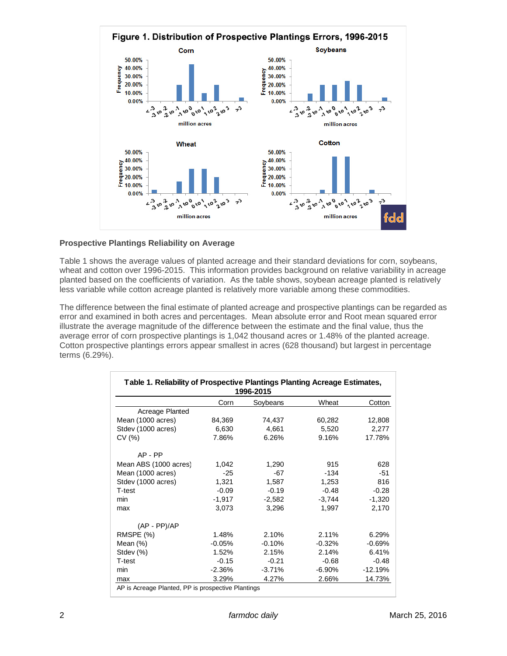

# **Prospective Plantings Reliability on Average**

Table 1 shows the average values of planted acreage and their standard deviations for corn, soybeans, wheat and cotton over 1996-2015. This information provides background on relative variability in acreage planted based on the coefficients of variation. As the table shows, soybean acreage planted is relatively less variable while cotton acreage planted is relatively more variable among these commodities.

The difference between the final estimate of planted acreage and prospective plantings can be regarded as error and examined in both acres and percentages. Mean absolute error and Root mean squared error illustrate the average magnitude of the difference between the estimate and the final value, thus the average error of corn prospective plantings is 1,042 thousand acres or 1.48% of the planted acreage. Cotton prospective plantings errors appear smallest in acres (628 thousand) but largest in percentage terms (6.29%).

| Table 1. Reliability of Prospective Plantings Planting Acreage Estimates,<br>1996-2015 |          |          |           |           |  |  |
|----------------------------------------------------------------------------------------|----------|----------|-----------|-----------|--|--|
|                                                                                        | Corn     | Soybeans | Wheat     | Cotton    |  |  |
| Acreage Planted                                                                        |          |          |           |           |  |  |
| Mean (1000 acres)                                                                      | 84,369   | 74,437   | 60,282    | 12,808    |  |  |
| Stdev (1000 acres)                                                                     | 6,630    | 4,661    | 5,520     | 2,277     |  |  |
| CV(%)                                                                                  | 7.86%    | 6.26%    | 9.16%     | 17.78%    |  |  |
| $AP - PP$                                                                              |          |          |           |           |  |  |
| Mean ABS (1000 acres)                                                                  | 1,042    | 1,290    | 915       | 628       |  |  |
| Mean (1000 acres)                                                                      | $-25$    | $-67$    | $-134$    | $-51$     |  |  |
| Stdev (1000 acres)                                                                     | 1,321    | 1,587    | 1,253     | 816       |  |  |
| T-test                                                                                 | $-0.09$  | $-0.19$  | $-0.48$   | $-0.28$   |  |  |
| min                                                                                    | $-1,917$ | $-2,582$ | $-3,744$  | $-1,320$  |  |  |
| max                                                                                    | 3,073    | 3,296    | 1,997     | 2,170     |  |  |
| $(AP - PP)/AP$                                                                         |          |          |           |           |  |  |
| RMSPE (%)                                                                              | 1.48%    | 2.10%    | 2.11%     | 6.29%     |  |  |
| Mean $(\%)$                                                                            | $-0.05%$ | $-0.10%$ | $-0.32%$  | $-0.69%$  |  |  |
| Stdev (%)                                                                              | 1.52%    | 2.15%    | 2.14%     | 6.41%     |  |  |
| T-test                                                                                 | $-0.15$  | $-0.21$  | $-0.68$   | $-0.48$   |  |  |
| min                                                                                    | $-2.36%$ | $-3.71%$ | $-6.90\%$ | $-12.19%$ |  |  |
| max                                                                                    | 3.29%    | 4.27%    | 2.66%     | 14.73%    |  |  |
| AP is Acreage Planted, PP is prospective Plantings                                     |          |          |           |           |  |  |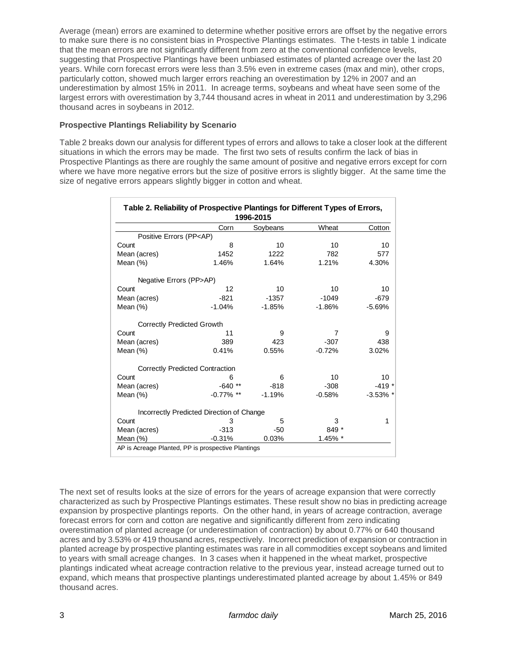Average (mean) errors are examined to determine whether positive errors are offset by the negative errors to make sure there is no consistent bias in Prospective Plantings estimates. The t-tests in table 1 indicate that the mean errors are not significantly different from zero at the conventional confidence levels, suggesting that Prospective Plantings have been unbiased estimates of planted acreage over the last 20 years. While corn forecast errors were less than 3.5% even in extreme cases (max and min), other crops, particularly cotton, showed much larger errors reaching an overestimation by 12% in 2007 and an underestimation by almost 15% in 2011. In acreage terms, soybeans and wheat have seen some of the largest errors with overestimation by 3,744 thousand acres in wheat in 2011 and underestimation by 3,296 thousand acres in soybeans in 2012.

# **Prospective Plantings Reliability by Scenario**

Table 2 breaks down our analysis for different types of errors and allows to take a closer look at the different situations in which the errors may be made. The first two sets of results confirm the lack of bias in Prospective Plantings as there are roughly the same amount of positive and negative errors except for corn where we have more negative errors but the size of positive errors is slightly bigger. At the same time the size of negative errors appears slightly bigger in cotton and wheat.

| Table 2. Reliability of Prospective Plantings for Different Types of Errors,<br>1996-2015 |                                           |          |          |             |  |  |
|-------------------------------------------------------------------------------------------|-------------------------------------------|----------|----------|-------------|--|--|
|                                                                                           | Corn                                      | Soybeans | Wheat    | Cotton      |  |  |
| Positive Errors (PP <ap)< td=""><td></td><td></td><td></td><td></td></ap)<>               |                                           |          |          |             |  |  |
| Count                                                                                     | 8                                         | 10       | 10       | 10          |  |  |
| Mean (acres)                                                                              | 1452                                      | 1222     | 782      | 577         |  |  |
| Mean $(\%)$                                                                               | 1.46%                                     | 1.64%    | 1.21%    | 4.30%       |  |  |
| Negative Errors (PP>AP)                                                                   |                                           |          |          |             |  |  |
| Count                                                                                     | 12                                        | 10       | 10       | 10          |  |  |
| Mean (acres)                                                                              | $-821$                                    | $-1357$  | $-1049$  | $-679$      |  |  |
| Mean $(%)$                                                                                | $-1.04%$                                  | $-1.85%$ | $-1.86%$ | $-5.69%$    |  |  |
| <b>Correctly Predicted Growth</b>                                                         |                                           |          |          |             |  |  |
| Count                                                                                     | 11                                        | 9        | 7        | 9           |  |  |
| Mean (acres)                                                                              | 389                                       | 423      | $-307$   | 438         |  |  |
| Mean $(\%)$                                                                               | 0.41%                                     | 0.55%    | $-0.72%$ | 3.02%       |  |  |
|                                                                                           | <b>Correctly Predicted Contraction</b>    |          |          |             |  |  |
| Count                                                                                     | 6                                         | 6        | 10       | 10          |  |  |
| Mean (acres)                                                                              | $-640$ **                                 | $-818$   | $-308$   | $-419*$     |  |  |
| Mean $(\%)$                                                                               | $-0.77\%$ **                              | $-1.19%$ | $-0.58%$ | $-3.53\%$ * |  |  |
|                                                                                           | Incorrectly Predicted Direction of Change |          |          |             |  |  |
| Count                                                                                     | 3                                         | 5        | 3        | 1           |  |  |
| Mean (acres)                                                                              | $-313$                                    | $-50$    | 849 *    |             |  |  |
| Mean $(\%)$                                                                               | $-0.31%$                                  | 0.03%    | 1.45% *  |             |  |  |
| AP is Acreage Planted, PP is prospective Plantings                                        |                                           |          |          |             |  |  |

The next set of results looks at the size of errors for the years of acreage expansion that were correctly characterized as such by Prospective Plantings estimates. These result show no bias in predicting acreage expansion by prospective plantings reports. On the other hand, in years of acreage contraction, average forecast errors for corn and cotton are negative and significantly different from zero indicating overestimation of planted acreage (or underestimation of contraction) by about 0.77% or 640 thousand acres and by 3.53% or 419 thousand acres, respectively. Incorrect prediction of expansion or contraction in planted acreage by prospective planting estimates was rare in all commodities except soybeans and limited to years with small acreage changes. In 3 cases when it happened in the wheat market, prospective plantings indicated wheat acreage contraction relative to the previous year, instead acreage turned out to expand, which means that prospective plantings underestimated planted acreage by about 1.45% or 849 thousand acres.